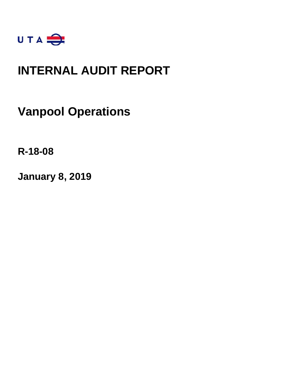

### **INTERNAL AUDIT REPORT**

**Vanpool Operations**

**R-18-08**

**January 8, 2019**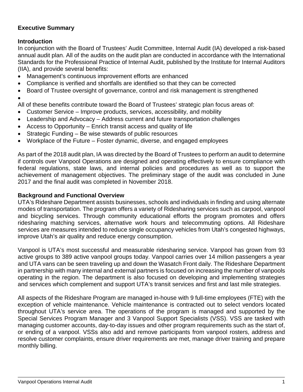#### **Executive Summary**

#### **Introduction**

In conjunction with the Board of Trustees' Audit Committee, Internal Audit (IA) developed a risk-based annual audit plan. All of the audits on the audit plan are conducted in accordance with the International Standards for the Professional Practice of Internal Audit, published by the Institute for Internal Auditors (IIA), and provide several benefits:

- Management's continuous improvement efforts are enhanced
- Compliance is verified and shortfalls are identified so that they can be corrected
- Board of Trustee oversight of governance, control and risk management is strengthened

#### •

All of these benefits contribute toward the Board of Trustees' strategic plan focus areas of:

- Customer Service Improve products, services, accessibility, and mobility
- Leadership and Advocacy Address current and future transportation challenges
- Access to Opportunity Enrich transit access and quality of life
- Strategic Funding Be wise stewards of public resources
- Workplace of the Future Foster dynamic, diverse, and engaged employees

As part of the 2018 audit plan, IA was directed by the Board of Trustees to perform an audit to determine if controls over Vanpool Operations are designed and operating effectively to ensure compliance with federal regulations, state laws, and internal policies and procedures as well as to support the achievement of management objectives. The preliminary stage of the audit was concluded in June 2017 and the final audit was completed in November 2018.

#### **Background and Functional Overview**

UTA's Rideshare Department assists businesses, schools and individuals in finding and using alternate modes of transportation. The program offers a variety of Ridesharing services such as carpool, vanpool and bicycling services. Through community educational efforts the program promotes and offers ridesharing matching services, alternative work hours and telecommuting options. All Rideshare services are measures intended to reduce single occupancy vehicles from Utah's congested highways, improve Utah's air quality and reduce energy consumption.

Vanpool is UTA's most successful and measurable ridesharing service. Vanpool has grown from 93 active groups to 389 active vanpool groups today. Vanpool carries over 14 million passengers a year and UTA vans can be seen traveling up and down the Wasatch Front daily. The Rideshare Department in partnership with many internal and external partners is focused on increasing the number of vanpools operating in the region. The department is also focused on developing and implementing strategies and services which complement and support UTA's transit services and first and last mile strategies.

All aspects of the Rideshare Program are managed in-house with 9 full-time employees (FTE) with the exception of vehicle maintenance. Vehicle maintenance is contracted out to select vendors located throughout UTA's service area. The operations of the program is managed and supported by the Special Services Program Manager and 3 Vanpool Support Specialists (VSS). VSS are tasked with managing customer accounts, day-to-day issues and other program requirements such as the start of, or ending of a vanpool. VSSs also add and remove participants from vanpool rosters, address and resolve customer complaints, ensure driver requirements are met, manage driver training and prepare monthly billing.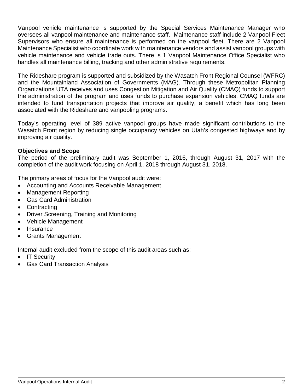Vanpool vehicle maintenance is supported by the Special Services Maintenance Manager who oversees all vanpool maintenance and maintenance staff. Maintenance staff include 2 Vanpool Fleet Supervisors who ensure all maintenance is performed on the vanpool fleet. There are 2 Vanpool Maintenance Specialist who coordinate work with maintenance vendors and assist vanpool groups with vehicle maintenance and vehicle trade outs. There is 1 Vanpool Maintenance Office Specialist who handles all maintenance billing, tracking and other administrative requirements.

The Rideshare program is supported and subsidized by the Wasatch Front Regional Counsel (WFRC) and the Mountainland Association of Governments (MAG). Through these Metropolitan Planning Organizations UTA receives and uses Congestion Mitigation and Air Quality (CMAQ) funds to support the administration of the program and uses funds to purchase expansion vehicles. CMAQ funds are intended to fund transportation projects that improve air quality, a benefit which has long been associated with the Rideshare and vanpooling programs.

Today's operating level of 389 active vanpool groups have made significant contributions to the Wasatch Front region by reducing single occupancy vehicles on Utah's congested highways and by improving air quality.

#### **Objectives and Scope**

The period of the preliminary audit was September 1, 2016, through August 31, 2017 with the completion of the audit work focusing on April 1, 2018 through August 31, 2018.

The primary areas of focus for the Vanpool audit were:

- Accounting and Accounts Receivable Management
- Management Reporting
- Gas Card Administration
- Contracting
- Driver Screening, Training and Monitoring
- Vehicle Management
- Insurance
- Grants Management

Internal audit excluded from the scope of this audit areas such as:

- IT Security
- Gas Card Transaction Analysis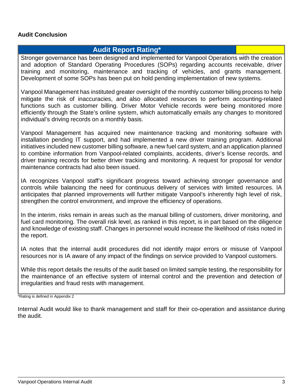#### **Audit Conclusion**

#### **Audit Report Rating\***

Stronger governance has been designed and implemented for Vanpool Operations with the creation and adoption of Standard Operating Procedures (SOPs) regarding accounts receivable, driver training and monitoring, maintenance and tracking of vehicles, and grants management. Development of some SOPs has been put on hold pending implementation of new systems.

Vanpool Management has instituted greater oversight of the monthly customer billing process to help mitigate the risk of inaccuracies, and also allocated resources to perform accounting-related functions such as customer billing. Driver Motor Vehicle records were being monitored more efficiently through the State's online system, which automatically emails any changes to monitored individual's driving records on a monthly basis.

Vanpool Management has acquired new maintenance tracking and monitoring software with installation pending IT support, and had implemented a new driver training program. Additional initiatives included new customer billing software, a new fuel card system, and an application planned to combine information from Vanpool-related complaints, accidents, driver's license records, and driver training records for better driver tracking and monitoring. A request for proposal for vendor maintenance contracts had also been issued.

IA recognizes Vanpool staff's significant progress toward achieving stronger governance and controls while balancing the need for continuous delivery of services with limited resources. IA anticipates that planned improvements will further mitigate Vanpool's inherently high level of risk, strengthen the control environment, and improve the efficiency of operations.

In the interim, risks remain in areas such as the manual billing of customers, driver monitoring, and fuel card monitoring. The overall risk level, as ranked in this report, is in part based on the diligence and knowledge of existing staff. Changes in personnel would increase the likelihood of risks noted in the report.

IA notes that the internal audit procedures did not identify major errors or misuse of Vanpool resources nor is IA aware of any impact of the findings on service provided to Vanpool customers.

While this report details the results of the audit based on limited sample testing, the responsibility for the maintenance of an effective system of internal control and the prevention and detection of irregularities and fraud rests with management.

\*Rating is defined in Appendix 2

Internal Audit would like to thank management and staff for their co-operation and assistance during the audit.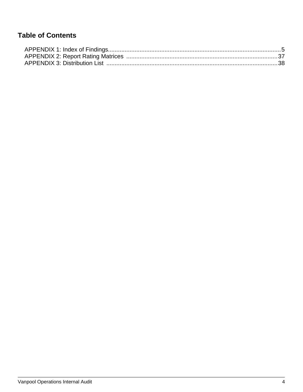### **Table of Contents**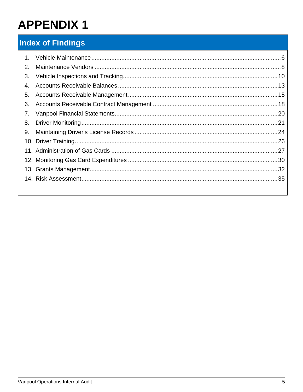### <span id="page-5-0"></span>**Index of Findings**

| $\mathbf{1}$ . |  |
|----------------|--|
| 2.             |  |
| 3.             |  |
| 4.             |  |
| 5.             |  |
| 6.             |  |
| 7.             |  |
| 8.             |  |
| 9.             |  |
|                |  |
|                |  |
|                |  |
|                |  |
|                |  |
|                |  |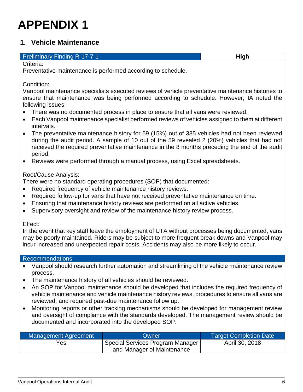### <span id="page-6-0"></span>**1. Vehicle Maintenance**

#### **Preliminary Finding R-17-7-1 High High High**

Criteria:

Preventative maintenance is performed according to schedule.

Condition:

Vanpool maintenance specialists executed reviews of vehicle preventative maintenance histories to ensure that maintenance was being performed according to schedule. However, IA noted the following issues:

- There was no documented process in place to ensure that all vans were reviewed.
- Each Vanpool maintenance specialist performed reviews of vehicles assigned to them at different intervals.
- The preventative maintenance history for 59 (15%) out of 385 vehicles had not been reviewed during the audit period. A sample of 10 out of the 59 revealed 2 (20%) vehicles that had not received the required preventative maintenance in the 8 months preceding the end of the audit period.
- Reviews were performed through a manual process, using Excel spreadsheets.

Root/Cause Analysis:

There were no standard operating procedures (SOP) that documented:

- Required frequency of vehicle maintenance history reviews.
- Required follow-up for vans that have not received preventative maintenance on time.
- Ensuring that maintenance history reviews are performed on all active vehicles.
- Supervisory oversight and review of the maintenance history review process.

Effect:

In the event that key staff leave the employment of UTA without processes being documented, vans may be poorly maintained. Riders may be subject to more frequent break downs and Vanpool may incur increased and unexpected repair costs. Accidents may also be more likely to occur.

#### Recommendations

- Vanpool should research further automation and streamlining of the vehicle maintenance review process.
- The maintenance history of all vehicles should be reviewed.
- An SOP for Vanpool maintenance should be developed that includes the required frequency of vehicle maintenance and vehicle maintenance history reviews, procedures to ensure all vans are reviewed, and required past-due maintenance follow up.
- Monitoring reports or other tracking mechanisms should be developed for management review and oversight of compliance with the standards developed. The management review should be documented and incorporated into the developed SOP.

| Management Agreement | Owner                            | <b>Target Completion Date</b> |
|----------------------|----------------------------------|-------------------------------|
| Yes                  | Special Services Program Manager | April 30, 2018                |
|                      | and Manager of Maintenance       |                               |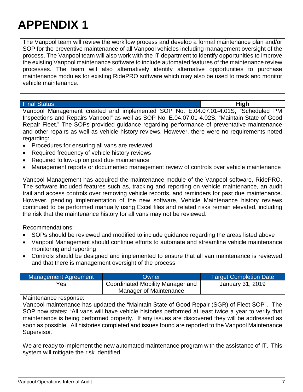The Vanpool team will review the workflow process and develop a formal maintenance plan and/or SOP for the preventive maintenance of all Vanpool vehicles including management oversight of the process. The Vanpool team will also work with the IT department to identify opportunities to improve the existing Vanpool maintenance software to include automated features of the maintenance review processes. The team will also alternatively identify alternative opportunities to purchase maintenance modules for existing RidePRO software which may also be used to track and monitor vehicle maintenance.

Final Status **High**

Vanpool Management created and implemented SOP No. E.04.07.01-4.01S, "Scheduled PM Inspections and Repairs Vanpool" as well as SOP No. E.04.07.01-4.02S, "Maintain State of Good Repair Fleet." The SOPs provided guidance regarding performance of preventative maintenance and other repairs as well as vehicle history reviews. However, there were no requirements noted regarding:

- Procedures for ensuring all vans are reviewed
- Required frequency of vehicle history reviews
- Required follow-up on past due maintenance
- Management reports or documented management review of controls over vehicle maintenance

Vanpool Management has acquired the maintenance module of the Vanpool software, RidePRO. The software included features such as, tracking and reporting on vehicle maintenance, an audit trail and access controls over removing vehicle records, and reminders for past due maintenance. However, pending implementation of the new software, Vehicle Maintenance history reviews continued to be performed manually using Excel files and related risks remain elevated, including the risk that the maintenance history for all vans may not be reviewed.

Recommendations:

- SOPs should be reviewed and modified to include guidance regarding the areas listed above
- Vanpool Management should continue efforts to automate and streamline vehicle maintenance monitoring and reporting
- Controls should be designed and implemented to ensure that all van maintenance is reviewed and that there is management oversight of the process

| Management Agreement | <b>Owner</b>                     | <b>Target Completion Date</b> |
|----------------------|----------------------------------|-------------------------------|
| Yes                  | Coordinated Mobility Manager and | January 31, 2019              |
|                      | Manager of Maintenance           |                               |

#### Maintenance response:

Vanpool maintenance has updated the "Maintain State of Good Repair (SGR) of Fleet SOP". The SOP now states: "All vans will have vehicle histories performed at least twice a year to verify that maintenance is being performed properly. If any issues are discovered they will be addressed as soon as possible. All histories completed and issues found are reported to the Vanpool Maintenance Supervisor.

We are ready to implement the new automated maintenance program with the assistance of IT. This system will mitigate the risk identified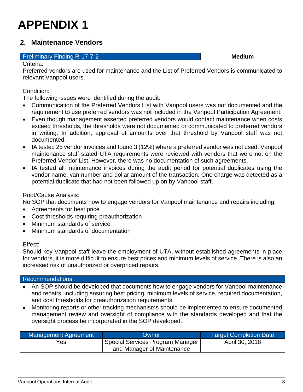### <span id="page-8-0"></span>**2. Maintenance Vendors**

#### **Preliminary Finding R-17-7-2 Medium Medium**

Criteria:

Preferred vendors are used for maintenance and the List of Preferred Vendors is communicated to relevant Vanpool users.

Condition:

The following issues were identified during the audit:

- Communication of the Preferred Vendors List with Vanpool users was not documented and the requirement to use preferred vendors was not included in the Vanpool Participation Agreement.
- Even though management asserted preferred vendors would contact maintenance when costs exceed thresholds, the thresholds were not documented or communicated to preferred vendors in writing. In addition, approval of amounts over that threshold by Vanpool staff was not documented.
- IA tested 25 vendor invoices and found 3 (12%) where a preferred vendor was not used. Vanpool maintenance staff stated UTA requirements were reviewed with vendors that were not on the Preferred Vendor List. However, there was no documentation of such agreements.
- IA tested all maintenance invoices during the audit period for potential duplicates using the vendor name, van number and dollar amount of the transaction. One charge was detected as a potential duplicate that had not been followed up on by Vanpool staff.

#### Root/Cause Analysis:

No SOP that documents how to engage vendors for Vanpool maintenance and repairs including:

- Agreements for best price
- Cost thresholds requiring preauthorization
- Minimum standards of service
- Minimum standards of documentation

#### Effect:

Should key Vanpool staff leave the employment of UTA, without established agreements in place for vendors, it is more difficult to ensure best prices and minimum levels of service. There is also an increased risk of unauthorized or overpriced repairs.

#### Recommendations

- An SOP should be developed that documents how to engage vendors for Vanpool maintenance and repairs, including ensuring best pricing, minimum levels of service, required documentation, and cost thresholds for preauthorization requirements.
- Monitoring reports or other tracking mechanisms should be implemented to ensure documented management review and oversight of compliance with the standards developed and that the oversight process be incorporated in the SOP developed.

| <b>Management Agreement</b> | Owner                            | <b>Target Completion Date</b> |
|-----------------------------|----------------------------------|-------------------------------|
| Yes                         | Special Services Program Manager | April 30, 2018                |
|                             | and Manager of Maintenance       |                               |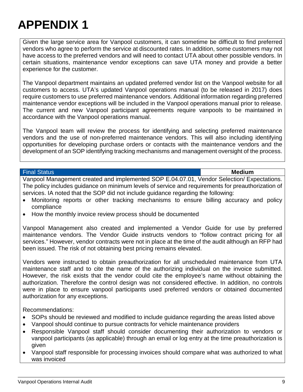Given the large service area for Vanpool customers, it can sometime be difficult to find preferred vendors who agree to perform the service at discounted rates. In addition, some customers may not have access to the preferred vendors and will need to contact UTA about other possible vendors. In certain situations, maintenance vendor exceptions can save UTA money and provide a better experience for the customer.

The Vanpool department maintains an updated preferred vendor list on the Vanpool website for all customers to access. UTA's updated Vanpool operations manual (to be released in 2017) does require customers to use preferred maintenance vendors. Additional information regarding preferred maintenance vendor exceptions will be included in the Vanpool operations manual prior to release. The current and new Vanpool participant agreements require vanpools to be maintained in accordance with the Vanpool operations manual.

The Vanpool team will review the process for identifying and selecting preferred maintenance vendors and the use of non-preferred maintenance vendors. This will also including identifying opportunities for developing purchase orders or contacts with the maintenance vendors and the development of an SOP identifying tracking mechanisms and management oversight of the process.

#### Final Status **Medium**

Vanpool Management created and implemented SOP E.04.07.01, Vendor Selection/ Expectations. The policy includes guidance on minimum levels of service and requirements for preauthorization of services. IA noted that the SOP did not include guidance regarding the following:

- Monitoring reports or other tracking mechanisms to ensure billing accuracy and policy compliance
- How the monthly invoice review process should be documented

Vanpool Management also created and implemented a Vendor Guide for use by preferred maintenance vendors. The Vendor Guide instructs vendors to "follow contract pricing for all services." However, vendor contracts were not in place at the time of the audit although an RFP had been issued. The risk of not obtaining best pricing remains elevated.

Vendors were instructed to obtain preauthorization for all unscheduled maintenance from UTA maintenance staff and to cite the name of the authorizing individual on the invoice submitted. However, the risk exists that the vendor could cite the employee's name without obtaining the authorization. Therefore the control design was not considered effective. In addition, no controls were in place to ensure vanpool participants used preferred vendors or obtained documented authorization for any exceptions.

Recommendations:

- SOPs should be reviewed and modified to include guidance regarding the areas listed above
- Vanpool should continue to pursue contracts for vehicle maintenance providers
- Responsible Vanpool staff should consider documenting their authorization to vendors or vanpool participants (as applicable) through an email or log entry at the time preauthorization is given
- Vanpool staff responsible for processing invoices should compare what was authorized to what was invoiced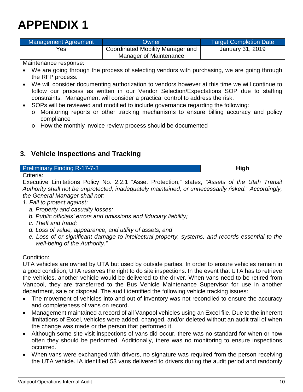| Management Agreement | Owner                            | Target Completion Date |
|----------------------|----------------------------------|------------------------|
| Yes                  | Coordinated Mobility Manager and | January 31, 2019       |
|                      | Manager of Maintenance           |                        |

Maintenance response:

- We are going through the process of selecting vendors with purchasing, we are going through the RFP process.
- We will consider documenting authorization to vendors however at this time we will continue to follow our process as written in our Vendor Selection/Expectations SOP due to staffing constraints. Management will consider a practical control to address the risk.
	- SOPs will be reviewed and modified to include governance regarding the following:
	- o Monitoring reports or other tracking mechanisms to ensure billing accuracy and policy compliance
	- o How the monthly invoice review process should be documented

### <span id="page-10-0"></span>**3. Vehicle Inspections and Tracking**

#### **Preliminary Finding R-17-7-3 High High High**

Criteria:

Executive Limitations Policy No. 2.2.1 "Asset Protection," states, *"Assets of the Utah Transit Authority shall not be unprotected, inadequately maintained, or unnecessarily risked." Accordingly, the General Manager shall not:*

*1. Fail to protect against:*

- *a. Property and casualty losses;*
- *b. Public officials' errors and omissions and fiduciary liability;*
- *c. Theft and fraud;*
- *d. Loss of value, appearance, and utility of assets; and*
- *e. Loss of or significant damage to intellectual property, systems, and records essential to the well-being of the Authority."*

Condition:

UTA vehicles are owned by UTA but used by outside parties. In order to ensure vehicles remain in a good condition, UTA reserves the right to do site inspections. In the event that UTA has to retrieve the vehicles, another vehicle would be delivered to the driver. When vans need to be retired from Vanpool, they are transferred to the Bus Vehicle Maintenance Supervisor for use in another department, sale or disposal. The audit identified the following vehicle tracking issues:

- The movement of vehicles into and out of inventory was not reconciled to ensure the accuracy and completeness of vans on record.
- Management maintained a record of all Vanpool vehicles using an Excel file. Due to the inherent limitations of Excel, vehicles were added, changed, and/or deleted without an audit trail of when the change was made or the person that performed it.
- Although some site visit inspections of vans did occur, there was no standard for when or how often they should be performed. Additionally, there was no monitoring to ensure inspections occurred.
- When vans were exchanged with drivers, no signature was required from the person receiving the UTA vehicle. IA identified 53 vans delivered to drivers during the audit period and randomly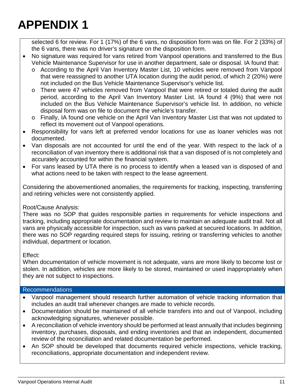selected 6 for review. For 1 (17%) of the 6 vans, no disposition form was on file. For 2 (33%) of the 6 vans, there was no driver's signature on the disposition form.

- No signature was required for vans retired from Vanpool operations and transferred to the Bus Vehicle Maintenance Supervisor for use in another department, sale or disposal. IA found that:
	- o According to the April Van Inventory Master List, 10 vehicles were removed from Vanpool that were reassigned to another UTA location during the audit period, of which 2 (20%) were not included on the Bus Vehicle Maintenance Supervisor's vehicle list.
	- o There were 47 vehicles removed from Vanpool that were retired or totaled during the audit period, according to the April Van Inventory Master List. IA found 4 (9%) that were not included on the Bus Vehicle Maintenance Supervisor's vehicle list. In addition, no vehicle disposal form was on file to document the vehicle's transfer.
	- o Finally, IA found one vehicle on the April Van Inventory Master List that was not updated to reflect its movement out of Vanpool operations.
- Responsibility for vans left at preferred vendor locations for use as loaner vehicles was not documented.
- Van disposals are not accounted for until the end of the year. With respect to the lack of a reconciliation of van inventory there is additional risk that a van disposed of is not completely and accurately accounted for within the financial system.
- For vans leased by UTA there is no process to identify when a leased van is disposed of and what actions need to be taken with respect to the lease agreement.

Considering the abovementioned anomalies, the requirements for tracking, inspecting, transferring and retiring vehicles were not consistently applied.

#### Root/Cause Analysis:

There was no SOP that guides responsible parties in requirements for vehicle inspections and tracking, including appropriate documentation and review to maintain an adequate audit trail. Not all vans are physically accessible for inspection, such as vans parked at secured locations. In addition, there was no SOP regarding required steps for issuing, retiring or transferring vehicles to another individual, department or location.

#### Effect:

When documentation of vehicle movement is not adequate, vans are more likely to become lost or stolen. In addition, vehicles are more likely to be stored, maintained or used inappropriately when they are not subject to inspections.

#### Recommendations

- Vanpool management should research further automation of vehicle tracking information that includes an audit trail whenever changes are made to vehicle records.
- Documentation should be maintained of all vehicle transfers into and out of Vanpool, including acknowledging signatures, whenever possible.
- A reconciliation of vehicle inventory should be performed at least annually that includes beginning inventory, purchases, disposals, and ending inventories and that an independent, documented review of the reconciliation and related documentation be performed.
- An SOP should be developed that documents required vehicle inspections, vehicle tracking, reconciliations, appropriate documentation and independent review.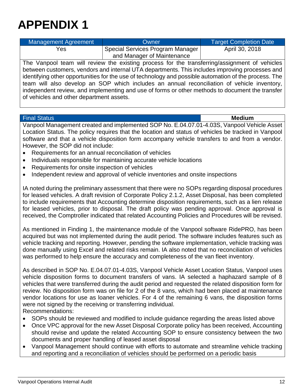| Management Agreement | Owner                            | <b>Target Completion Date</b> |
|----------------------|----------------------------------|-------------------------------|
| Yes                  | Special Services Program Manager | April 30, 2018                |
|                      | and Manager of Maintenance       |                               |

The Vanpool team will review the existing process for the transferring/assignment of vehicles between customers, vendors and internal UTA departments. This includes improving processes and identifying other opportunities for the use of technology and possible automation of the process. The team will also develop an SOP which includes an annual reconciliation of vehicle inventory, independent review, and implementing and use of forms or other methods to document the transfer of vehicles and other department assets.

#### Final Status **Medium**

Vanpool Management created and implemented SOP No. E.04.07.01-4.03S, Vanpool Vehicle Asset Location Status. The policy requires that the location and status of vehicles be tracked in Vanpool software and that a vehicle disposition form accompany vehicle transfers to and from a vendor. However, the SOP did not include:

- Requirements for an annual reconciliation of vehicles
- Individuals responsible for maintaining accurate vehicle locations
- Requirements for onsite inspection of vehicles
- Independent review and approval of vehicle inventories and onsite inspections

IA noted during the preliminary assessment that there were no SOPs regarding disposal procedures for leased vehicles. A draft revision of Corporate Policy 2.1.2, Asset Disposal, has been completed to include requirements that Accounting determine disposition requirements, such as a lien release for leased vehicles, prior to disposal. The draft policy was pending approval. Once approval is received, the Comptroller indicated that related Accounting Policies and Procedures will be revised.

As mentioned in Finding 1, the maintenance module of the Vanpool software RidePRO, has been acquired but was not implemented during the audit period. The software includes features such as vehicle tracking and reporting. However, pending the software implementation, vehicle tracking was done manually using Excel and related risks remain. IA also noted that no reconciliation of vehicles was performed to help ensure the accuracy and completeness of the van fleet inventory.

As described in SOP No. E.04.07.01-4.03S, Vanpool Vehicle Asset Location Status, Vanpool uses vehicle disposition forms to document transfers of vans. IA selected a haphazard sample of 8 vehicles that were transferred during the audit period and requested the related disposition form for review. No disposition form was on file for 2 of the 8 vans, which had been placed at maintenance vendor locations for use as loaner vehicles. For 4 of the remaining 6 vans, the disposition forms were not signed by the receiving or transferring individual. Recommendations:

- SOPs should be reviewed and modified to include guidance regarding the areas listed above
- Once VPC approval for the new Asset Disposal Corporate policy has been received, Accounting should revise and update the related Accounting SOP to ensure consistency between the two documents and proper handling of leased asset disposal
- Vanpool Management should continue with efforts to automate and streamline vehicle tracking and reporting and a reconciliation of vehicles should be performed on a periodic basis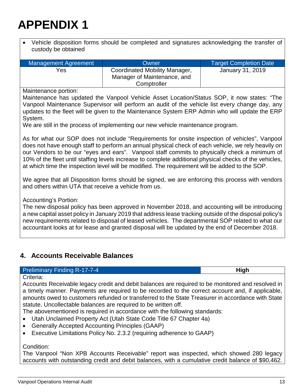• Vehicle disposition forms should be completed and signatures acknowledging the transfer of custody be obtained

| Management Agreement | Owner                                                                       | <b>Target Completion Date</b> |
|----------------------|-----------------------------------------------------------------------------|-------------------------------|
| Yes                  | Coordinated Mobility Manager,<br>Manager of Maintenance, and<br>Comptroller | January 31, 2019              |

Maintenance portion:

Maintenance has updated the Vanpool Vehicle Asset Location/Status SOP, it now states: "The Vanpool Maintenance Supervisor will perform an audit of the vehicle list every change day, any updates to the fleet will be given to the Maintenance System ERP Admin who will update the ERP System.

We are still in the process of implementing our new vehicle maintenance program.

As for what our SOP does not include "Requirements for onsite inspection of vehicles", Vanpool does not have enough staff to perform an annual physical check of each vehicle, we rely heavily on our Vendors to be our "eyes and ears". Vanpool staff commits to physically check a minimum of 10% of the fleet until staffing levels increase to complete additional physical checks of the vehicles, at which time the inspection level will be modified. The requirement will be added to the SOP.

We agree that all Disposition forms should be signed, we are enforcing this process with vendors and others within UTA that receive a vehicle from us.

Accounting's Portion:

The new disposal policy has been approved in November 2018, and accounting will be introducing a new capital asset policy in January 2019 that address lease tracking outside of the disposal policy's new requirements related to disposal of leased vehicles. The departmental SOP related to what our accountant looks at for lease and granted disposal will be updated by the end of December 2018.

### <span id="page-13-0"></span>**4. Accounts Receivable Balances**

#### **Preliminary Finding R-17-7-4 High High High**

Criteria:

Accounts Receivable legacy credit and debit balances are required to be monitored and resolved in a timely manner. Payments are required to be recorded to the correct account and, if applicable, amounts owed to customers refunded or transferred to the State Treasurer in accordance with State statute. Uncollectable balances are required to be written off.

The abovementioned is required in accordance with the following standards:

- Utah Unclaimed Property Act (Utah State Code Title 67 Chapter 4a)
- Generally Accepted Accounting Principles (GAAP)
- Executive Limitations Policy No. 2.3.2 (requiring adherence to GAAP)

#### Condition:

The Vanpool "Non XPB Accounts Receivable" report was inspected, which showed 280 legacy accounts with outstanding credit and debit balances, with a cumulative credit balance of \$90,462.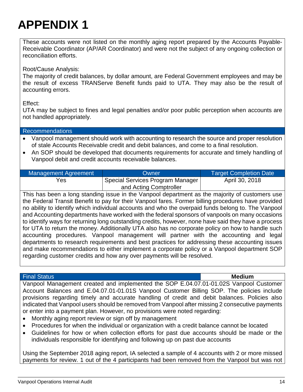These accounts were not listed on the monthly aging report prepared by the Accounts Payable-Receivable Coordinator (AP/AR Coordinator) and were not the subject of any ongoing collection or reconciliation efforts.

Root/Cause Analysis:

The majority of credit balances, by dollar amount, are Federal Government employees and may be the result of excess TRANServe Benefit funds paid to UTA. They may also be the result of accounting errors.

Effect:

UTA may be subject to fines and legal penalties and/or poor public perception when accounts are not handled appropriately.

| Recommendations                                                                             |
|---------------------------------------------------------------------------------------------|
| Vanpool management should work with accounting to research the source and proper resolution |
| of stale Accounts Receivable credit and debit balances, and come to a final resolution.     |

• An SOP should be developed that documents requirements for accurate and timely handling of Vanpool debit and credit accounts receivable balances.

| Management Agreement | Owner                            | <b>Target Completion Date</b> |
|----------------------|----------------------------------|-------------------------------|
| Yes                  | Special Services Program Manager | April 30, 2018                |
|                      | and Acting Comptroller           |                               |

This has been a long standing issue in the Vanpool department as the majority of customers use the Federal Transit Benefit to pay for their Vanpool fares. Former billing procedures have provided no ability to identify which individual accounts and who the overpaid funds belong to. The Vanpool and Accounting departments have worked with the federal sponsors of vanpools on many occasions to identify ways for returning long outstanding credits, however, none have said they have a process for UTA to return the money. Additionally UTA also has no corporate policy on how to handle such accounting procedures. Vanpool management will partner with the accounting and legal departments to research requirements and best practices for addressing these accounting issues and make recommendations to either implement a corporate policy or a Vanpool department SOP regarding customer credits and how any over payments will be resolved.

#### Final Status **Medium**

Vanpool Management created and implemented the SOP E.04.07.01-01.02S Vanpool Customer Account Balances and E.04.07.01-01.01S Vanpool Customer Billing SOP. The policies include provisions regarding timely and accurate handling of credit and debit balances. Policies also indicated that Vanpool users should be removed from Vanpool after missing 2 consecutive payments or enter into a payment plan. However, no provisions were noted regarding:

- Monthly aging report review or sign off by management
- Procedures for when the individual or organization with a credit balance cannot be located
- Guidelines for how or when collection efforts for past due accounts should be made or the individuals responsible for identifying and following up on past due accounts

Using the September 2018 aging report, IA selected a sample of 4 accounts with 2 or more missed payments for review. 1 out of the 4 participants had been removed from the Vanpool but was not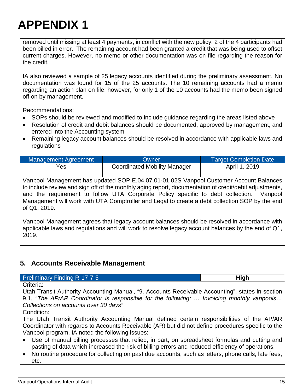### etc.

## **APPENDIX 1**

removed until missing at least 4 payments, in conflict with the new policy. 2 of the 4 participants had been billed in error. The remaining account had been granted a credit that was being used to offset current charges. However, no memo or other documentation was on file regarding the reason for the credit.

IA also reviewed a sample of 25 legacy accounts identified during the preliminary assessment. No documentation was found for 15 of the 25 accounts. The 10 remaining accounts had a memo regarding an action plan on file, however, for only 1 of the 10 accounts had the memo been signed off on by management.

Recommendations:

- SOPs should be reviewed and modified to include guidance regarding the areas listed above
- Resolution of credit and debit balances should be documented, approved by management, and entered into the Accounting system
- Remaining legacy account balances should be resolved in accordance with applicable laws and regulations

| Management Agreement | <b>Owner</b>                        | <b>Target Completion Date</b> |
|----------------------|-------------------------------------|-------------------------------|
| Yes                  | <b>Coordinated Mobility Manager</b> | April 1, 2019                 |

Vanpool Management has updated SOP E.04.07.01-01.02S Vanpool Customer Account Balances to include review and sign off of the monthly aging report, documentation of credit/debit adjustments, and the requirement to follow UTA Corporate Policy specific to debt collection. Vanpool Management will work with UTA Comptroller and Legal to create a debt collection SOP by the end of Q1, 2019.

Vanpool Management agrees that legacy account balances should be resolved in accordance with applicable laws and regulations and will work to resolve legacy account balances by the end of Q1, 2019.

### <span id="page-15-0"></span>**5. Accounts Receivable Management**

#### **Preliminary Finding R-17-7-5 High High**

#### Criteria:

Utah Transit Authority Accounting Manual, "9. Accounts Receivable Accounting", states in section 9.1, "*The AP/AR Coordinator is responsible for the following: … Invoicing monthly vanpools… Collections on accounts over 30 days"*

Condition:

The Utah Transit Authority Accounting Manual defined certain responsibilities of the AP/AR Coordinator with regards to Accounts Receivable (AR) but did not define procedures specific to the Vanpool program. IA noted the following issues:

- Use of manual billing processes that relied, in part, on spreadsheet formulas and cutting and pasting of data which increased the risk of billing errors and reduced efficiency of operations.
- No routine procedure for collecting on past due accounts, such as letters, phone calls, late fees,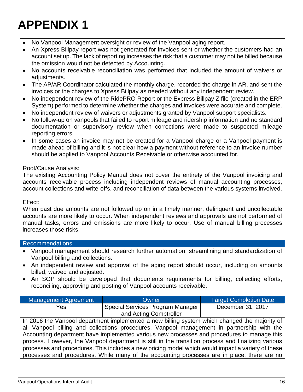- No Vanpool Management oversight or review of the Vanpool aging report.
- An Xpress Billpay report was not generated for invoices sent or whether the customers had an account set up. The lack of reporting increases the risk that a customer may not be billed because the omission would not be detected by Accounting.
- No accounts receivable reconciliation was performed that included the amount of waivers or adjustments.
- The AP/AR Coordinator calculated the monthly charge, recorded the charge in AR, and sent the invoices or the charges to Xpress Billpay as needed without any independent review.
- No independent review of the RidePRO Report or the Express Billpay Z file (created in the ERP System) performed to determine whether the charges and invoices were accurate and complete.
- No independent review of waivers or adjustments granted by Vanpool support specialists.
- No follow-up on vanpools that failed to report mileage and ridership information and no standard documentation or supervisory review when corrections were made to suspected mileage reporting errors.
- In some cases an invoice may not be created for a Vanpool charge or a Vanpool payment is made ahead of billing and it is not clear how a payment without reference to an invoice number should be applied to Vanpool Accounts Receivable or otherwise accounted for.

#### Root/Cause Analysis:

The existing Accounting Policy Manual does not cover the entirety of the Vanpool invoicing and accounts receivable process including independent reviews of manual accounting processes, account collections and write-offs, and reconciliation of data between the various systems involved.

#### Effect:

When past due amounts are not followed up on in a timely manner, delinquent and uncollectable accounts are more likely to occur. When independent reviews and approvals are not performed of manual tasks, errors and omissions are more likely to occur. Use of manual billing processes increases those risks.

#### Recommendations

- Vanpool management should research further automation, streamlining and standardization of Vanpool billing and collections.
- An independent review and approval of the aging report should occur, including on amounts billed, waived and adjusted.
- An SOP should be developed that documents requirements for billing, collecting efforts, reconciling, approving and posting of Vanpool accounts receivable.

| Management Agreement | Owner                            | <b>Target Completion Date</b> |
|----------------------|----------------------------------|-------------------------------|
| Yes                  | Special Services Program Manager | December 31, 2017             |
|                      | and Acting Comptroller           |                               |

In 2016 the Vanpool department implemented a new billing system which changed the majority of all Vanpool billing and collections procedures. Vanpool management in partnership with the Accounting department have implemented various new processes and procedures to manage this process. However, the Vanpool department is still in the transition process and finalizing various processes and procedures. This includes a new pricing model which would impact a variety of these processes and procedures. While many of the accounting processes are in place, there are no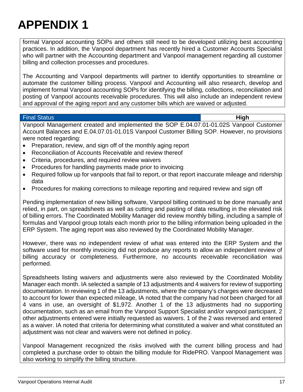formal Vanpool accounting SOPs and others still need to be developed utilizing best accounting practices. In addition, the Vanpool department has recently hired a Customer Accounts Specialist who will partner with the Accounting department and Vanpool management regarding all customer billing and collection processes and procedures.

The Accounting and Vanpool departments will partner to identify opportunities to streamline or automate the customer billing process. Vanpool and Accounting will also research, develop and implement formal Vanpool accounting SOPs for identifying the billing, collections, reconciliation and posting of Vanpool accounts receivable procedures. This will also include an independent review and approval of the aging report and any customer bills which are waived or adjusted.

#### Final Status **High**

Vanpool Management created and implemented the SOP E.04.07.01-01.02S Vanpool Customer Account Balances and E.04.07.01-01.01S Vanpool Customer Billing SOP. However, no provisions were noted regarding:

- Preparation, review, and sign off of the monthly aging report
- Reconciliation of Accounts Receivable and review thereof
- Criteria, procedures, and required review waivers
- Procedures for handling payments made prior to invoicing
- Required follow up for vanpools that fail to report, or that report inaccurate mileage and ridership data
- Procedures for making corrections to mileage reporting and required review and sign off

Pending implementation of new billing software, Vanpool billing continued to be done manually and relied, in part, on spreadsheets as well as cutting and pasting of data resulting in the elevated risk of billing errors. The Coordinated Mobility Manager did review monthly billing, including a sample of formulas and Vanpool group totals each month prior to the billing information being uploaded in the ERP System. The aging report was also reviewed by the Coordinated Mobility Manager.

However, there was no independent review of what was entered into the ERP System and the software used for monthly invoicing did not produce any reports to allow an independent review of billing accuracy or completeness. Furthermore, no accounts receivable reconciliation was performed.

Spreadsheets listing waivers and adjustments were also reviewed by the Coordinated Mobility Manager each month. IA selected a sample of 13 adjustments and 4 waivers for review of supporting documentation. In reviewing 1 of the 13 adjustments, where the company's charges were decreased to account for lower than expected mileage, IA noted that the company had not been charged for all 4 vans in use, an oversight of \$1,972. Another 1 of the 13 adjustments had no supporting documentation, such as an email from the Vanpool Support Specialist and/or vanpool participant. 2 other adjustments entered were initially requested as waivers. 1 of the 2 was reversed and entered as a waiver. IA noted that criteria for determining what constituted a waiver and what constituted an adjustment was not clear and waivers were not defined in policy.

Vanpool Management recognized the risks involved with the current billing process and had completed a purchase order to obtain the billing module for RidePRO. Vanpool Management was also working to simplify the billing structure.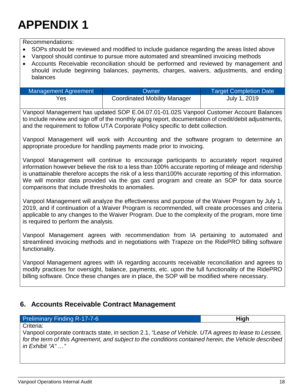*in Exhibit "A" …"*

Criteria:

## **APPENDIX 1**

Recommendations:

- SOPs should be reviewed and modified to include guidance regarding the areas listed above
- Vanpool should continue to pursue more automated and streamlined invoicing methods
- Accounts Receivable reconciliation should be performed and reviewed by management and should include beginning balances, payments, charges, waivers, adjustments, and ending balances

| Management Agreement | Owner                               | <b>Target Completion Date</b> |
|----------------------|-------------------------------------|-------------------------------|
| Yes                  | <b>Coordinated Mobility Manager</b> | July 1, 2019                  |

Vanpool Management has updated SOP E.04.07.01-01.02S Vanpool Customer Account Balances to include review and sign off of the monthly aging report, documentation of credit/debit adjustments, and the requirement to follow UTA Corporate Policy specific to debt collection.

Vanpool Management will work with Accounting and the software program to determine an appropriate procedure for handling payments made prior to invoicing.

Vanpool Management will continue to encourage participants to accurately report required information however believe the risk to a less than 100% accurate reporting of mileage and ridership is unattainable therefore accepts the risk of a less than100% accurate reporting of this information. We will monitor data provided via the gas card program and create an SOP for data source comparisons that include thresholds to anomalies.

Vanpool Management will analyze the effectiveness and purpose of the Waiver Program by July 1, 2019, and if continuation of a Waiver Program is recommended, will create processes and criteria applicable to any changes to the Waiver Program. Due to the complexity of the program, more time is required to perform the analysis.

Vanpool Management agrees with recommendation from IA pertaining to automated and streamlined invoicing methods and in negotiations with Trapeze on the RidePRO billing software functionality.

Vanpool Management agrees with IA regarding accounts receivable reconciliation and agrees to modify practices for oversight, balance, payments, etc. upon the full functionality of the RidePRO billing software. Once these changes are in place, the SOP will be modified where necessary.

Vanpool corporate contracts state, in section 2.1, *"Lease of Vehicle. UTA agrees to lease to Lessee, for the term of this Agreement, and subject to the conditions contained herein, the Vehicle described* 

### <span id="page-18-0"></span>**6. Accounts Receivable Contract Management**

#### **Preliminary Finding R-17-7-6 High High High**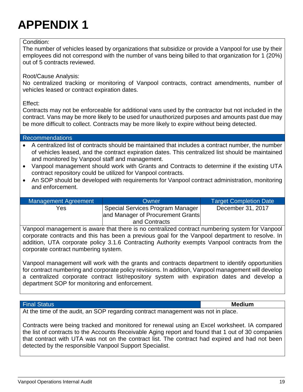#### Condition:

The number of vehicles leased by organizations that subsidize or provide a Vanpool for use by their employees did not correspond with the number of vans being billed to that organization for 1 (20%) out of 5 contracts reviewed.

Root/Cause Analysis:

No centralized tracking or monitoring of Vanpool contracts, contract amendments, number of vehicles leased or contract expiration dates.

Effect:

Contracts may not be enforceable for additional vans used by the contractor but not included in the contract. Vans may be more likely to be used for unauthorized purposes and amounts past due may be more difficult to collect. Contracts may be more likely to expire without being detected.

#### Recommendations

- A centralized list of contracts should be maintained that includes a contract number, the number of vehicles leased, and the contract expiration dates. This centralized list should be maintained and monitored by Vanpool staff and management.
- Vanpool management should work with Grants and Contracts to determine if the existing UTA contract repository could be utilized for Vanpool contracts.
- An SOP should be developed with requirements for Vanpool contract administration, monitoring and enforcement.

| <b>Management Agreement</b> | Owner                             | Target Completion Date |
|-----------------------------|-----------------------------------|------------------------|
| Yes                         | Special Services Program Manager  | December 31, 2017      |
|                             | and Manager of Procurement Grants |                        |
|                             | and Contracts                     |                        |

Vanpool management is aware that there is no centralized contract numbering system for Vanpool corporate contracts and this has been a previous goal for the Vanpool department to resolve. In addition, UTA corporate policy 3.1.6 Contracting Authority exempts Vanpool contracts from the corporate contract numbering system.

Vanpool management will work with the grants and contracts department to identify opportunities for contract numbering and corporate policy revisions. In addition, Vanpool management will develop a centralized corporate contract list/repository system with expiration dates and develop a department SOP for monitoring and enforcement.

#### Final Status **Medium**

At the time of the audit, an SOP regarding contract management was not in place.

Contracts were being tracked and monitored for renewal using an Excel worksheet. IA compared the list of contracts to the Accounts Receivable Aging report and found that 1 out of 30 companies that contract with UTA was not on the contract list. The contract had expired and had not been detected by the responsible Vanpool Support Specialist.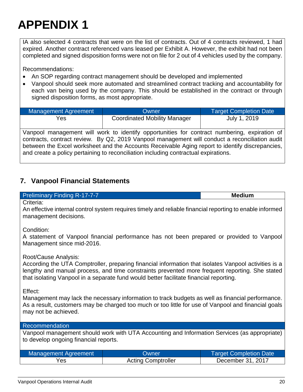IA also selected 4 contracts that were on the list of contracts. Out of 4 contracts reviewed, 1 had expired. Another contract referenced vans leased per Exhibit A. However, the exhibit had not been completed and signed disposition forms were not on file for 2 out of 4 vehicles used by the company.

Recommendations:

- An SOP regarding contract management should be developed and implemented
- Vanpool should seek more automated and streamlined contract tracking and accountability for each van being used by the company. This should be established in the contract or through signed disposition forms, as most appropriate.

| Management Agreement | <b>Owner</b>                                                                                                    | Target Completion Date |
|----------------------|-----------------------------------------------------------------------------------------------------------------|------------------------|
| Yes                  | <b>Coordinated Mobility Manager</b>                                                                             | July 1, 2019           |
| .<br>.               | the contract of the contract of the contract of the contract of the contract of the contract of the contract of |                        |

Vanpool management will work to identify opportunities for contract numbering, expiration of contracts, contract review. By Q2, 2019 Vanpool management will conduct a reconciliation audit between the Excel worksheet and the Accounts Receivable Aging report to identify discrepancies, and create a policy pertaining to reconciliation including contractual expirations.

### <span id="page-20-0"></span>**7. Vanpool Financial Statements**

#### Preliminary Finding R-17-7-7 **Medium**

Criteria:

An effective internal control system requires timely and reliable financial reporting to enable informed management decisions.

Condition:

A statement of Vanpool financial performance has not been prepared or provided to Vanpool Management since mid-2016.

Root/Cause Analysis:

According the UTA Comptroller, preparing financial information that isolates Vanpool activities is a lengthy and manual process, and time constraints prevented more frequent reporting. She stated that isolating Vanpool in a separate fund would better facilitate financial reporting.

Effect:

Management may lack the necessary information to track budgets as well as financial performance. As a result, customers may be charged too much or too little for use of Vanpool and financial goals may not be achieved.

#### Recommendation

Vanpool management should work with UTA Accounting and Information Services (as appropriate) to develop ongoing financial reports.

| Management Agreement | <b>Owner</b>              | <b>Target Completion Date</b> |  |
|----------------------|---------------------------|-------------------------------|--|
| Yes                  | <b>Acting Comptroller</b> | December 31, 2017             |  |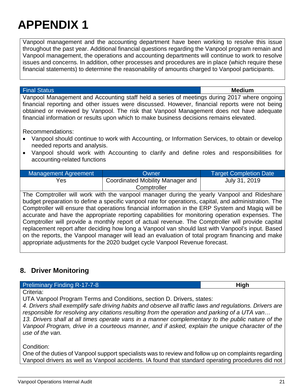Vanpool management and the accounting department have been working to resolve this issue throughout the past year. Additional financial questions regarding the Vanpool program remain and Vanpool management, the operations and accounting departments will continue to work to resolve issues and concerns. In addition, other processes and procedures are in place (which require these financial statements) to determine the reasonability of amounts charged to Vanpool participants.

#### Final Status **Medium**

Vanpool Management and Accounting staff held a series of meetings during 2017 where ongoing financial reporting and other issues were discussed. However, financial reports were not being obtained or reviewed by Vanpool. The risk that Vanpool Management does not have adequate financial information or results upon which to make business decisions remains elevated.

Recommendations:

- Vanpool should continue to work with Accounting, or Information Services, to obtain or develop needed reports and analysis.
- Vanpool should work with Accounting to clarify and define roles and responsibilities for accounting-related functions

| Management Agreement | Owner                            | <b>Target Completion Date</b> |
|----------------------|----------------------------------|-------------------------------|
| Yes                  | Coordinated Mobility Manager and | July 31, 2019                 |
|                      | Comptroller                      |                               |

The Comptroller will work with the vanpool manager during the yearly Vanpool and Rideshare budget preparation to define a specific vanpool rate for operations, capital, and administration. The Comptroller will ensure that operations financial information in the ERP System and Magiq will be accurate and have the appropriate reporting capabilities for monitoring operation expenses. The Comptroller will provide a monthly report of actual revenue. The Comptroller will provide capital replacement report after deciding how long a Vanpool van should last with Vanpool's input. Based on the reports, the Vanpool manager will lead an evaluation of total program financing and make appropriate adjustments for the 2020 budget cycle Vanpool Revenue forecast.

### <span id="page-21-0"></span>**8. Driver Monitoring**

#### **Preliminary Finding R-17-7-8 High High High**

Criteria:

UTA Vanpool Program Terms and Conditions, section D. Drivers, states:

*4. Drivers shall exemplify safe driving habits and observe all traffic laws and regulations. Drivers are responsible for resolving any citations resulting from the operation and parking of a UTA van…* 

*13. Drivers shall at all times operate vans in a manner complementary to the public nature of the Vanpool Program, drive in a courteous manner, and if asked, explain the unique character of the use of the van.* 

Condition:

One of the duties of Vanpool support specialists was to review and follow up on complaints regarding Vanpool drivers as well as Vanpool accidents. IA found that standard operating procedures did not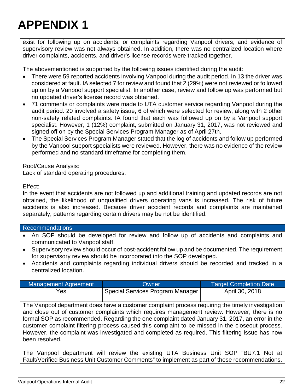exist for following up on accidents, or complaints regarding Vanpool drivers, and evidence of supervisory review was not always obtained. In addition, there was no centralized location where driver complaints, accidents, and driver's license records were tracked together.

The abovementioned is supported by the following issues identified during the audit:

- There were 59 reported accidents involving Vanpool during the audit period. In 13 the driver was considered at fault. IA selected 7 for review and found that 2 (29%) were not reviewed or followed up on by a Vanpool support specialist. In another case, review and follow up was performed but no updated driver's license record was obtained.
- 71 comments or complaints were made to UTA customer service regarding Vanpool during the audit period. 20 involved a safety issue, 6 of which were selected for review, along with 2 other non-safety related complaints. IA found that each was followed up on by a Vanpool support specialist. However, 1 (12%) complaint, submitted on January 31, 2017, was not reviewed and signed off on by the Special Services Program Manager as of April 27th.
- The Special Services Program Manager stated that the log of accidents and follow up performed by the Vanpool support specialists were reviewed. However, there was no evidence of the review performed and no standard timeframe for completing them.

Root/Cause Analysis:

Lack of standard operating procedures.

Effect:

In the event that accidents are not followed up and additional training and updated records are not obtained, the likelihood of unqualified drivers operating vans is increased. The risk of future accidents is also increased. Because driver accident records and complaints are maintained separately, patterns regarding certain drivers may be not be identified.

#### Recommendations

- An SOP should be developed for review and follow up of accidents and complaints and communicated to Vanpool staff.
- Supervisory review should occur of post-accident follow up and be documented. The requirement for supervisory review should be incorporated into the SOP developed.
- Accidents and complaints regarding individual drivers should be recorded and tracked in a centralized location.

| Management Agreement | Owner                            | <b>Target Completion Date</b> |
|----------------------|----------------------------------|-------------------------------|
| Yes                  | Special Services Program Manager | April 30, 2018                |

The Vanpool department does have a customer complaint process requiring the timely investigation and close out of customer complaints which requires management review. However, there is no formal SOP as recommended. Regarding the one complaint dated January 31, 2017, an error in the customer complaint filtering process caused this complaint to be missed in the closeout process. However, the complaint was investigated and completed as required. This filtering issue has now been resolved.

The Vanpool department will review the existing UTA Business Unit SOP "BU7.1 Not at Fault/Verified Business Unit Customer Comments" to implement as part of these recommendations.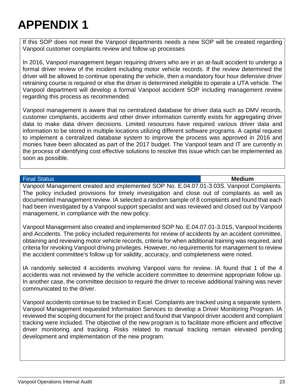If this SOP does not meet the Vanpool departments needs a new SOP will be created regarding Vanpool customer complaints review and follow up processes

In 2016, Vanpool management began requiring drivers who are in an at-fault accident to undergo a formal driver review of the incident including motor vehicle records. If the review determined the driver will be allowed to continue operating the vehicle, then a mandatory four hour defensive driver retraining course is required or else the driver is determined ineligible to operate a UTA vehicle. The Vanpool department will develop a formal Vanpool accident SOP including management review regarding this process as recommended.

Vanpool management is aware that no centralized database for driver data such as DMV records, customer complaints, accidents and other driver information currently exists for aggregating driver data to make data driven decisions. Limited resources have required various driver data and information to be stored in multiple locations utilizing different software programs. A capital request to implement a centralized database system to improve the process was approved in 2016 and monies have been allocated as part of the 2017 budget. The Vanpool team and IT are currently in the process of identifying cost effective solutions to resolve this issue which can be implemented as soon as possible.

#### Final Status **Medium**

Vanpool Management created and implemented SOP No. E.04.07.01-3.03S, Vanpool Complaints. The policy included provisions for timely investigation and close out of complaints as well as documented management review. IA selected a random sample of 8 complaints and found that each had been investigated by a Vanpool support specialist and was reviewed and closed out by Vanpool management, in compliance with the new policy.

Vanpool Management also created and implemented SOP No. E.04.07.01-3.01S, Vanpool Incidents and Accidents. The policy included requirements for review of accidents by an accident committee, obtaining and reviewing motor vehicle records, criteria for when additional training was required, and criteria for revoking Vanpool driving privileges. However, no requirements for management to review the accident committee's follow up for validity, accuracy, and completeness were noted.

IA randomly selected 4 accidents involving Vanpool vans for review. IA found that 1 of the 4 accidents was not reviewed by the vehicle accident committee to determine appropriate follow up. In another case, the committee decision to require the driver to receive additional training was never communicated to the driver.

Vanpool accidents continue to be tracked in Excel. Complaints are tracked using a separate system. Vanpool Management requested Information Services to develop a Driver Monitoring Program. IA reviewed the scoping document for the project and found that Vanpool driver accident and complaint tracking were included. The objective of the new program is to facilitate more efficient and effective driver monitoring and tracking. Risks related to manual tracking remain elevated pending development and implementation of the new program.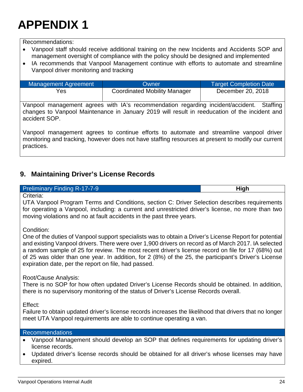Recommendations:

- Vanpool staff should receive additional training on the new Incidents and Accidents SOP and management oversight of compliance with the policy should be designed and implemented
- IA recommends that Vanpool Management continue with efforts to automate and streamline Vanpool driver monitoring and tracking

| Management Agreement | <b>Owner</b>                        | <b>Target Completion Date</b> |
|----------------------|-------------------------------------|-------------------------------|
| Yes                  | <b>Coordinated Mobility Manager</b> | December 20, 2018             |

Vanpool management agrees with IA's recommendation regarding incident/accident. Staffing changes to Vanpool Maintenance in January 2019 will result in reeducation of the incident and accident SOP.

Vanpool management agrees to continue efforts to automate and streamline vanpool driver monitoring and tracking, however does not have staffing resources at present to modify our current practices.

### <span id="page-24-0"></span>**9. Maintaining Driver's License Records**

#### **Preliminary Finding R-17-7-9 High High High**

Criteria:

UTA Vanpool Program Terms and Conditions, section C: Driver Selection describes requirements for operating a Vanpool, including: a current and unrestricted driver's license, no more than two moving violations and no at fault accidents in the past three years.

Condition:

One of the duties of Vanpool support specialists was to obtain a Driver's License Report for potential and existing Vanpool drivers. There were over 1,900 drivers on record as of March 2017. IA selected a random sample of 25 for review. The most recent driver's license record on file for 17 (68%) out of 25 was older than one year. In addition, for 2 (8%) of the 25, the participant's Driver's License expiration date, per the report on file, had passed.

Root/Cause Analysis:

There is no SOP for how often updated Driver's License Records should be obtained. In addition, there is no supervisory monitoring of the status of Driver's License Records overall.

Effect:

Failure to obtain updated driver's license records increases the likelihood that drivers that no longer meet UTA Vanpool requirements are able to continue operating a van.

#### Recommendations

- Vanpool Management should develop an SOP that defines requirements for updating driver's license records.
- Updated driver's license records should be obtained for all driver's whose licenses may have expired.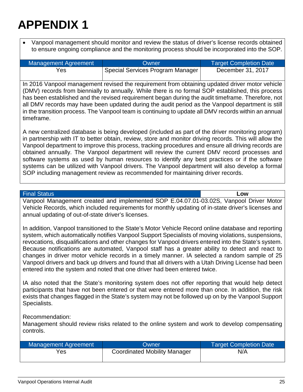• Vanpool management should monitor and review the status of driver's license records obtained to ensure ongoing compliance and the monitoring process should be incorporated into the SOP.

| Management Agreement | <b>Owner</b>                     | <b>Target Completion Date</b> |
|----------------------|----------------------------------|-------------------------------|
| Yes                  | Special Services Program Manager | December 31, 2017             |

In 2016 Vanpool management revised the requirement from obtaining updated driver motor vehicle (DMV) records from biennially to annually. While there is no formal SOP established, this process has been established and the revised requirement began during the audit timeframe. Therefore, not all DMV records may have been updated during the audit period as the Vanpool department is still in the transition process. The Vanpool team is continuing to update all DMV records within an annual timeframe.

A new centralized database is being developed (included as part of the driver monitoring program) in partnership with IT to better obtain, review, store and monitor driving records. This will allow the Vanpool department to improve this process, tracking procedures and ensure all driving records are obtained annually. The Vanpool department will review the current DMV record processes and software systems as used by human resources to identify any best practices or if the software systems can be utilized with Vanpool drivers. The Vanpool department will also develop a formal SOP including management review as recommended for maintaining driver records.

#### Final Status **Low**

Vanpool Management created and implemented SOP E.04.07.01-03.02S, Vanpool Driver Motor Vehicle Records, which included requirements for monthly updating of in-state driver's licenses and annual updating of out-of-state driver's licenses.

In addition, Vanpool transitioned to the State's Motor Vehicle Record online database and reporting system, which automatically notifies Vanpool Support Specialists of moving violations, suspensions, revocations, disqualifications and other changes for Vanpool drivers entered into the State's system. Because notifications are automated, Vanpool staff has a greater ability to detect and react to changes in driver motor vehicle records in a timely manner. IA selected a random sample of 25 Vanpool drivers and back up drivers and found that all drivers with a Utah Driving License had been entered into the system and noted that one driver had been entered twice.

IA also noted that the State's monitoring system does not offer reporting that would help detect participants that have not been entered or that were entered more than once. In addition, the risk exists that changes flagged in the State's system may not be followed up on by the Vanpool Support Specialists.

Recommendation:

Management should review risks related to the online system and work to develop compensating controls.

| Management Agreement | <b>Owner</b>                        | <b>Target Completion Date</b> |
|----------------------|-------------------------------------|-------------------------------|
| Yes                  | <b>Coordinated Mobility Manager</b> | N/A                           |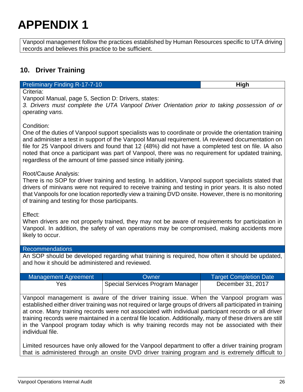Vanpool management follow the practices established by Human Resources specific to UTA driving records and believes this practice to be sufficient.

### <span id="page-26-0"></span>**10. Driver Training**

**Preliminary Finding R-17-7-10 High High High** 

Criteria:

Vanpool Manual, page 5, Section D: Drivers, states:

*3. Drivers must complete the UTA Vanpool Driver Orientation prior to taking possession of or operating vans.* 

Condition:

One of the duties of Vanpool support specialists was to coordinate or provide the orientation training and administer a test in support of the Vanpool Manual requirement. IA reviewed documentation on file for 25 Vanpool drivers and found that 12 (48%) did not have a completed test on file. IA also noted that once a participant was part of Vanpool, there was no requirement for updated training, regardless of the amount of time passed since initially joining.

Root/Cause Analysis:

There is no SOP for driver training and testing. In addition, Vanpool support specialists stated that drivers of minivans were not required to receive training and testing in prior years. It is also noted that Vanpools for one location reportedly view a training DVD onsite. However, there is no monitoring of training and testing for those participants.

Effect:

When drivers are not properly trained, they may not be aware of requirements for participation in Vanpool. In addition, the safety of van operations may be compromised, making accidents more likely to occur.

#### Recommendations

An SOP should be developed regarding what training is required, how often it should be updated, and how it should be administered and reviewed.

| <b>Management Agreement</b> | Owner                                     | <b>Target Completion Date</b> |
|-----------------------------|-------------------------------------------|-------------------------------|
| Yes                         | <b>Special Services Program Manager  </b> | December 31, 2017             |

Vanpool management is aware of the driver training issue. When the Vanpool program was established either driver training was not required or large groups of drivers all participated in training at once. Many training records were not associated with individual participant records or all driver training records were maintained in a central file location. Additionally, many of these drivers are still in the Vanpool program today which is why training records may not be associated with their individual file.

Limited resources have only allowed for the Vanpool department to offer a driver training program that is administered through an onsite DVD driver training program and is extremely difficult to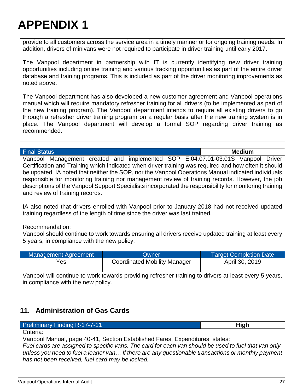provide to all customers across the service area in a timely manner or for ongoing training needs. In addition, drivers of minivans were not required to participate in driver training until early 2017.

The Vanpool department in partnership with IT is currently identifying new driver training opportunities including online training and various tracking opportunities as part of the entire driver database and training programs. This is included as part of the driver monitoring improvements as noted above.

The Vanpool department has also developed a new customer agreement and Vanpool operations manual which will require mandatory refresher training for all drivers (to be implemented as part of the new training program). The Vanpool department intends to require all existing drivers to go through a refresher driver training program on a regular basis after the new training system is in place. The Vanpool department will develop a formal SOP regarding driver training as recommended.

#### Final Status **Medium**

Vanpool Management created and implemented SOP E.04.07.01-03.01S Vanpool Driver Certification and Training which indicated when driver training was required and how often it should be updated. IA noted that neither the SOP, nor the Vanpool Operations Manual indicated individuals responsible for monitoring training nor management review of training records. However, the job descriptions of the Vanpool Support Specialists incorporated the responsibility for monitoring training and review of training records.

IA also noted that drivers enrolled with Vanpool prior to January 2018 had not received updated training regardless of the length of time since the driver was last trained.

#### Recommendation:

Vanpool should continue to work towards ensuring all drivers receive updated training at least every 5 years, in compliance with the new policy.

| Management Agreement               | Owner                                                                                                 | <b>Target Completion Date</b> |
|------------------------------------|-------------------------------------------------------------------------------------------------------|-------------------------------|
| Yes.                               | <b>Coordinated Mobility Manager</b>                                                                   | April 30, 2019                |
| in compliance with the new policy. | Vanpool will continue to work towards providing refresher training to drivers at least every 5 years, |                               |

### <span id="page-27-0"></span>**11. Administration of Gas Cards**

| <b>Preliminary Finding R-17-7-11</b> | High |
|--------------------------------------|------|
| Criteria:                            |      |

Vanpool Manual, page 40-41, Section Established Fares, Expenditures, states:

*Fuel cards are assigned to specific vans. The card for each van should be used to fuel that van only, unless you need to fuel a loaner van… If there are any questionable transactions or monthly payment has not been received, fuel card may be locked.*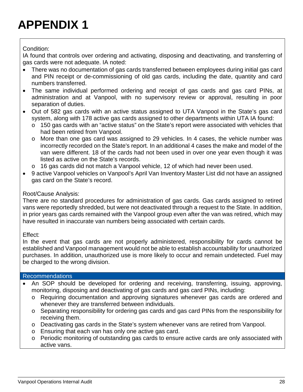Condition:

IA found that controls over ordering and activating, disposing and deactivating, and transferring of gas cards were not adequate. IA noted:

- There was no documentation of gas cards transferred between employees during initial gas card and PIN receipt or de-commissioning of old gas cards, including the date, quantity and card numbers transferred.
- The same individual performed ordering and receipt of gas cards and gas card PINs, at administration and at Vanpool, with no supervisory review or approval, resulting in poor separation of duties.
- Out of 582 gas cards with an active status assigned to UTA Vanpool in the State's gas card system, along with 178 active gas cards assigned to other departments within UTA IA found:
	- o 150 gas cards with an "active status" on the State's report were associated with vehicles that had been retired from Vanpool.
	- o More than one gas card was assigned to 29 vehicles. In 4 cases, the vehicle number was incorrectly recorded on the State's report. In an additional 4 cases the make and model of the van were different. 18 of the cards had not been used in over one year even though it was listed as active on the State's records.
	- o 16 gas cards did not match a Vanpool vehicle, 12 of which had never been used.
- 9 active Vanpool vehicles on Vanpool's April Van Inventory Master List did not have an assigned gas card on the State's record.

#### Root/Cause Analysis:

There are no standard procedures for administration of gas cards. Gas cards assigned to retired vans were reportedly shredded, but were not deactivated through a request to the State. In addition, in prior years gas cards remained with the Vanpool group even after the van was retired, which may have resulted in inaccurate van numbers being associated with certain cards.

#### Effect:

In the event that gas cards are not properly administered, responsibility for cards cannot be established and Vanpool management would not be able to establish accountability for unauthorized purchases. In addition, unauthorized use is more likely to occur and remain undetected. Fuel may be charged to the wrong division.

#### Recommendations

- An SOP should be developed for ordering and receiving, transferring, issuing, approving, monitoring, disposing and deactivating of gas cards and gas card PINs, including:
	- o Requiring documentation and approving signatures whenever gas cards are ordered and whenever they are transferred between individuals.
	- o Separating responsibility for ordering gas cards and gas card PINs from the responsibility for receiving them.
	- o Deactivating gas cards in the State's system whenever vans are retired from Vanpool.
	- o Ensuring that each van has only one active gas card.
	- o Periodic monitoring of outstanding gas cards to ensure active cards are only associated with active vans.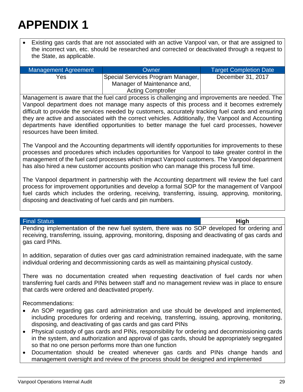• Existing gas cards that are not associated with an active Vanpool van, or that are assigned to the incorrect van, etc. should be researched and corrected or deactivated through a request to the State, as applicable.

| <b>Management Agreement</b> | Owner                             | <b>Target Completion Date</b> |
|-----------------------------|-----------------------------------|-------------------------------|
| Yes                         | Special Services Program Manager, | December 31, 2017             |
|                             | Manager of Maintenance and,       |                               |
|                             | <b>Acting Comptroller</b>         |                               |

Management is aware that the fuel card process is challenging and improvements are needed. The Vanpool department does not manage many aspects of this process and it becomes extremely difficult to provide the services needed by customers, accurately tracking fuel cards and ensuring they are active and associated with the correct vehicles. Additionally, the Vanpool and Accounting departments have identified opportunities to better manage the fuel card processes, however resources have been limited.

The Vanpool and the Accounting departments will identify opportunities for improvements to these processes and procedures which includes opportunities for Vanpool to take greater control in the management of the fuel card processes which impact Vanpool customers. The Vanpool department has also hired a new customer accounts position who can manage this process full time.

The Vanpool department in partnership with the Accounting department will review the fuel card process for improvement opportunities and develop a formal SOP for the management of Vanpool fuel cards which includes the ordering, receiving, transferring, issuing, approving, monitoring, disposing and deactivating of fuel cards and pin numbers.

#### Final Status **High**

Pending implementation of the new fuel system, there was no SOP developed for ordering and receiving, transferring, issuing, approving, monitoring, disposing and deactivating of gas cards and gas card PINs.

In addition, separation of duties over gas card administration remained inadequate, with the same individual ordering and decommissioning cards as well as maintaining physical custody.

There was no documentation created when requesting deactivation of fuel cards nor when transferring fuel cards and PINs between staff and no management review was in place to ensure that cards were ordered and deactivated properly.

Recommendations:

- An SOP regarding gas card administration and use should be developed and implemented, including procedures for ordering and receiving, transferring, issuing, approving, monitoring, disposing, and deactivating of gas cards and gas card PINs
- Physical custody of gas cards and PINs, responsibility for ordering and decommissioning cards in the system, and authorization and approval of gas cards, should be appropriately segregated so that no one person performs more than one function
- Documentation should be created whenever gas cards and PINs change hands and management oversight and review of the process should be designed and implemented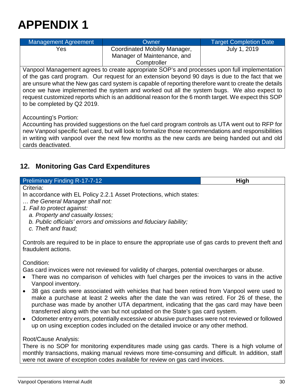| Management Agreement | Owner                                                                       | <b>Target Completion Date</b> |
|----------------------|-----------------------------------------------------------------------------|-------------------------------|
| Yes                  | Coordinated Mobility Manager,<br>Manager of Maintenance, and<br>Comptroller | July 1, 2019                  |

Vanpool Management agrees to create appropriate SOP's and processes upon full implementation of the gas card program. Our request for an extension beyond 90 days is due to the fact that we are unsure what the New gas card system is capable of reporting therefore want to create the details once we have implemented the system and worked out all the system bugs. We also expect to request customized reports which is an additional reason for the 6 month target. We expect this SOP to be completed by Q2 2019.

Accounting's Portion:

Accounting has provided suggestions on the fuel card program controls as UTA went out to RFP for new Vanpool specific fuel card, but will look to formalize those recommendations and responsibilities in writing with vanpool over the next few months as the new cards are being handed out and old cards deactivated.

### <span id="page-30-0"></span>**12. Monitoring Gas Card Expenditures**

| <b>Preliminary Finding R-17-7-12</b>                                                                                                                                                   | <b>High</b> |
|----------------------------------------------------------------------------------------------------------------------------------------------------------------------------------------|-------------|
| Criteria:                                                                                                                                                                              |             |
| In accordance with EL Policy 2.2.1 Asset Protections, which states:<br>the General Manager shall not:<br>1. Fail to protect against:                                                   |             |
| a. Property and casualty losses;                                                                                                                                                       |             |
| b. Public officials' errors and omissions and fiduciary liability;<br>c. Theft and fraud;                                                                                              |             |
| Controls are required to be in place to ensure the appropriate use of gas cards to prevent theft and<br>fraudulent actions.                                                            |             |
| Condition:                                                                                                                                                                             |             |
| Gas card invoices were not reviewed for validity of charges, potential overcharges or abuse.                                                                                           |             |
| • There was no comparison of vehicles with fuel charges per the invoices to vans in the active<br>Vanpool inventory.                                                                   |             |
| 38 gas cards were associated with vehicles that had been retired from Vanpool were used to<br>make a nurchase at least 2 weeks after the date the van was retired. For 26 of these the |             |

- after the date the van was re purchase was made by another UTA department, indicating that the gas card may have been transferred along with the van but not updated on the State's gas card system.
- Odometer entry errors, potentially excessive or abusive purchases were not reviewed or followed up on using exception codes included on the detailed invoice or any other method.

#### Root/Cause Analysis:

There is no SOP for monitoring expenditures made using gas cards. There is a high volume of monthly transactions, making manual reviews more time-consuming and difficult. In addition, staff were not aware of exception codes available for review on gas card invoices.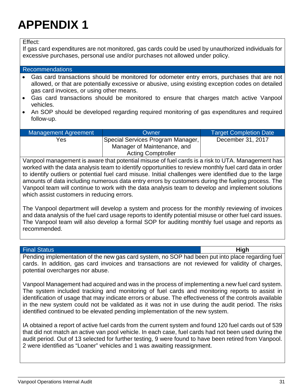Effect:

If gas card expenditures are not monitored, gas cards could be used by unauthorized individuals for excessive purchases, personal use and/or purchases not allowed under policy.

#### Recommendations

- Gas card transactions should be monitored for odometer entry errors, purchases that are not allowed, or that are potentially excessive or abusive, using existing exception codes on detailed gas card invoices, or using other means.
- Gas card transactions should be monitored to ensure that charges match active Vanpool vehicles.
- An SOP should be developed regarding required monitoring of gas expenditures and required follow-up.

| Management Agreement | Owner                             | <b>Target Completion Date</b> |
|----------------------|-----------------------------------|-------------------------------|
| Yes                  | Special Services Program Manager, | December 31, 2017             |
|                      | Manager of Maintenance, and       |                               |
|                      | <b>Acting Comptroller</b>         |                               |

Vanpool management is aware that potential misuse of fuel cards is a risk to UTA. Management has worked with the data analysis team to identify opportunities to review monthly fuel card data in order to identify outliers or potential fuel card misuse. Initial challenges were identified due to the large amounts of data including numerous data entry errors by customers during the fueling process. The Vanpool team will continue to work with the data analysis team to develop and implement solutions which assist customers in reducing errors.

The Vanpool department will develop a system and process for the monthly reviewing of invoices and data analysis of the fuel card usage reports to identify potential misuse or other fuel card issues. The Vanpool team will also develop a formal SOP for auditing monthly fuel usage and reports as recommended.

#### Final Status **High**

Pending implementation of the new gas card system, no SOP had been put into place regarding fuel cards. In addition, gas card invoices and transactions are not reviewed for validity of charges, potential overcharges nor abuse.

Vanpool Management had acquired and was in the process of implementing a new fuel card system. The system included tracking and monitoring of fuel cards and monitoring reports to assist in identification of usage that may indicate errors or abuse. The effectiveness of the controls available in the new system could not be validated as it was not in use during the audit period. The risks identified continued to be elevated pending implementation of the new system.

IA obtained a report of active fuel cards from the current system and found 120 fuel cards out of 539 that did not match an active van pool vehicle. In each case, fuel cards had not been used during the audit period. Out of 13 selected for further testing, 9 were found to have been retired from Vanpool. 2 were identified as "Loaner" vehicles and 1 was awaiting reassignment.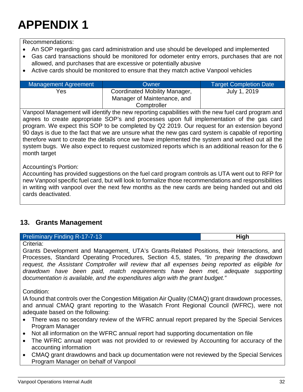Recommendations:

- An SOP regarding gas card administration and use should be developed and implemented
- Gas card transactions should be monitored for odometer entry errors, purchases that are not allowed, and purchases that are excessive or potentially abusive
- Active cards should be monitored to ensure that they match active Vanpool vehicles

| Management Agreement | Owner                                                                       | <b>Target Completion Date</b> |
|----------------------|-----------------------------------------------------------------------------|-------------------------------|
| Yes                  | Coordinated Mobility Manager,<br>Manager of Maintenance, and<br>Comptroller | July 1, 2019                  |

Vanpool Management will identify the new reporting capabilities with the new fuel card program and agrees to create appropriate SOP's and processes upon full implementation of the gas card program. We expect this SOP to be completed by Q2 2019. Our request for an extension beyond 90 days is due to the fact that we are unsure what the new gas card system is capable of reporting therefore want to create the details once we have implemented the system and worked out all the system bugs. We also expect to request customized reports which is an additional reason for the 6 month target

Accounting's Portion:

Accounting has provided suggestions on the fuel card program controls as UTA went out to RFP for new Vanpool specific fuel card, but will look to formalize those recommendations and responsibilities in writing with vanpool over the next few months as the new cards are being handed out and old cards deactivated.

### <span id="page-32-0"></span>**13. Grants Management**

#### **Preliminary Finding R-17-7-13 High High**

#### Criteria:

Grants Development and Management, UTA's Grants-Related Positions, their Interactions, and Processes, Standard Operating Procedures, Section 4.5, states, *"In preparing the drawdown request, the Assistant Comptroller will review that all expenses being reported as eligible for*  drawdown have been paid, match requirements have been met, adequate supporting *documentation is available, and the expenditures align with the grant budget."*

Condition:

IA found that controls over the Congestion Mitigation Air Quality (CMAQ) grant drawdown processes, and annual CMAQ grant reporting to the Wasatch Front Regional Council (WFRC), were not adequate based on the following:

- There was no secondary review of the WFRC annual report prepared by the Special Services Program Manager
- Not all information on the WFRC annual report had supporting documentation on file
- The WFRC annual report was not provided to or reviewed by Accounting for accuracy of the accounting information
- CMAQ grant drawdowns and back up documentation were not reviewed by the Special Services Program Manager on behalf of Vanpool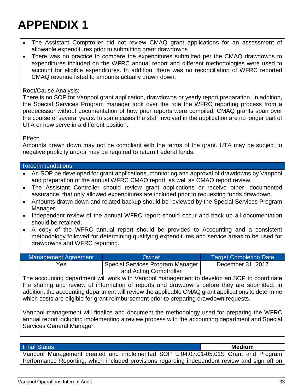- The Assistant Comptroller did not review CMAQ grant applications for an assessment of allowable expenditures prior to submitting grant drawdowns
- There was no practice to compare the expenditures submitted per the CMAQ drawdowns to expenditures included on the WFRC annual report and different methodologies were used to account for eligible expenditures. In addition, there was no reconciliation of WFRC reported CMAQ revenue listed to amounts actually drawn down.

#### Root/Cause Analysis:

There is no SOP for Vanpool grant application, drawdowns or yearly report preparation. In addition, the Special Services Program manager took over the role the WFRC reporting process from a predecessor without documentation of how prior reports were compiled. CMAQ grants span over the course of several years. In some cases the staff involved in the application are no longer part of UTA or now serve in a different position.

#### Effect:

Amounts drawn down may not be compliant with the terms of the grant. UTA may be subject to negative publicity and/or may be required to return Federal funds.

#### Recommendations

- An SOP be developed for grant applications, monitoring and approval of drawdowns by Vanpool and preparation of the annual WFRC CMAQ report, as well as CMAQ report review.
- The Assistant Controller should review grant applications or receive other, documented assurance, that only allowed expenditures are included prior to requesting funds drawdown.
- Amounts drawn down and related backup should be reviewed by the Special Services Program Manager.
- Independent review of the annual WFRC report should occur and back up all documentation should be retained.
- A copy of the WFRC annual report should be provided to Accounting and a consistent methodology followed for determining qualifying expenditures and service areas to be used for drawdowns and WFRC reporting.

| Management Agreement | Owner                            | <b>Target Completion Date</b> |
|----------------------|----------------------------------|-------------------------------|
| Yes                  | Special Services Program Manager | December 31, 2017             |
|                      | and Acting Comptroller           |                               |

The accounting department will work with Vanpool management to develop an SOP to coordinate the sharing and review of information of reports and drawdowns before they are submitted. In addition, the accounting department will review the applicable CMAQ grant applications to determine which costs are eligible for grant reimbursement prior to preparing drawdown requests.

Vanpool management will finalize and document the methodology used for preparing the WFRC annual report including implementing a review process with the accounting department and Special Services General Manager.

#### Final Status **Medium**

Vanpool Management created and implemented SOP E.04.07.01-05.01S Grant and Program Performance Reporting, which included provisions regarding independent review and sign off on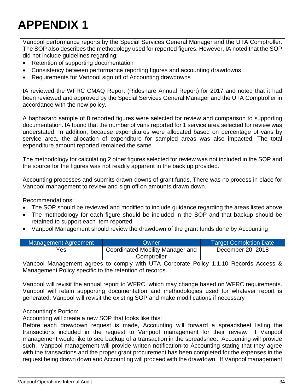Vanpool performance reports by the Special Services General Manager and the UTA Comptroller. The SOP also describes the methodology used for reported figures. However, IA noted that the SOP did not include guidelines regarding:

- Retention of supporting documentation
- Consistency between performance reporting figures and accounting drawdowns
- Requirements for Vanpool sign off of Accounting drawdowns

IA reviewed the WFRC CMAQ Report (Rideshare Annual Report) for 2017 and noted that it had been reviewed and approved by the Special Services General Manager and the UTA Comptroller in accordance with the new policy.

A haphazard sample of 8 reported figures were selected for review and comparison to supporting documentation. IA found that the number of vans reported for 1 service area selected for review was understated. In addition, because expenditures were allocated based on percentage of vans by service area, the allocation of expenditure for sampled areas was also impacted. The total expenditure amount reported remained the same.

The methodology for calculating 2 other figures selected for review was not included in the SOP and the source for the figures was not readily apparent in the back up provided.

Accounting processes and submits drawn-downs of grant funds. There was no process in place for Vanpool management to review and sign off on amounts drawn down.

Recommendations:

- The SOP should be reviewed and modified to include guidance regarding the areas listed above
- The methodology for each figure should be included in the SOP and that backup should be retained to support each item reported
- Vanpool Management should review the drawdown of the grant funds done by Accounting

| Management Agreement | <b>Owner</b>                     | <b>Target Completion Date</b> |
|----------------------|----------------------------------|-------------------------------|
| Yes                  | Coordinated Mobility Manager and | December 20, 2018             |
|                      | Comptroller                      |                               |

Vanpool Management agrees to comply with UTA Corporate Policy 1.1.10 Records Access & Management Policy specific to the retention of records.

Vanpool will revisit the annual report to WFRC, which may change based on WFRC requirements. Vanpool will retain supporting documentation and methodologies used for whatever report is generated. Vanpool will revisit the existing SOP and make modifications if necessary

Accounting's Portion:

Accounting will create a new SOP that looks like this:

Before each drawdown request is made, Accounting will forward a spreadsheet listing the transactions included in the request to Vanpool management for their review. If Vanpool management would like to see backup of a transaction in the spreadsheet, Accounting will provide such. Vanpool management will provide written notification to Accounting stating that they agree with the transactions and the proper grant procurement has been completed for the expenses in the request being drawn down and Accounting will proceed with the drawdown. If Vanpool management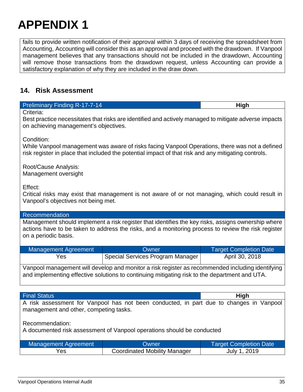fails to provide written notification of their approval within 3 days of receiving the spreadsheet from Accounting, Accounting will consider this as an approval and proceed with the drawdown. If Vanpool management believes that any transactions should not be included in the drawdown, Accounting will remove those transactions from the drawdown request, unless Accounting can provide a satisfactory explanation of why they are included in the draw down.

### <span id="page-35-0"></span>**14. Risk Assessment**

| <b>Preliminary Finding R-17-7-14</b>                                                                                                                                                                                              | High                             |                               |  |  |
|-----------------------------------------------------------------------------------------------------------------------------------------------------------------------------------------------------------------------------------|----------------------------------|-------------------------------|--|--|
| Criteria:<br>Best practice necessitates that risks are identified and actively managed to mitigate adverse impacts<br>on achieving management's objectives.                                                                       |                                  |                               |  |  |
| Condition:<br>While Vanpool management was aware of risks facing Vanpool Operations, there was not a defined<br>risk register in place that included the potential impact of that risk and any mitigating controls.               |                                  |                               |  |  |
| Root/Cause Analysis:<br>Management oversight                                                                                                                                                                                      |                                  |                               |  |  |
| Effect:<br>Critical risks may exist that management is not aware of or not managing, which could result in<br>Vanpool's objectives not being met.                                                                                 |                                  |                               |  |  |
| Recommendation                                                                                                                                                                                                                    |                                  |                               |  |  |
| Management should implement a risk register that identifies the key risks, assigns ownership where<br>actions have to be taken to address the risks, and a monitoring process to review the risk register<br>on a periodic basis. |                                  |                               |  |  |
| <b>Management Agreement</b>                                                                                                                                                                                                       | Owner                            | <b>Target Completion Date</b> |  |  |
| Yes                                                                                                                                                                                                                               | Special Services Program Manager | April 30, 2018                |  |  |
| Vanpool management will develop and monitor a risk register as recommended including identifying<br>and implementing effective solutions to continuing mitigating risk to the department and UTA.                                 |                                  |                               |  |  |
|                                                                                                                                                                                                                                   |                                  |                               |  |  |
| <b>Final Status</b>                                                                                                                                                                                                               |                                  | <b>High</b>                   |  |  |
| A risk assessment for Vanpool has not been conducted, in part due to changes in Vanpool<br>management and other, competing tasks.                                                                                                 |                                  |                               |  |  |
| Recommendation:<br>A documented risk assessment of Vanpool operations should be conducted                                                                                                                                         |                                  |                               |  |  |

| Management Agreement | Owner:                              | Target Completion Date |  |
|----------------------|-------------------------------------|------------------------|--|
| Yes                  | <b>Coordinated Mobility Manager</b> | July 1, 2019           |  |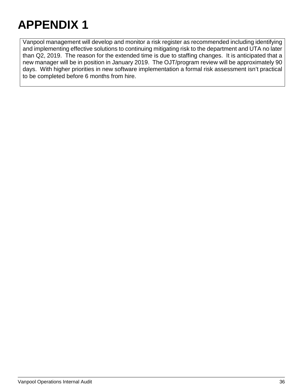Vanpool management will develop and monitor a risk register as recommended including identifying and implementing effective solutions to continuing mitigating risk to the department and UTA no later than Q2, 2019. The reason for the extended time is due to staffing changes. It is anticipated that a new manager will be in position in January 2019. The OJT/program review will be approximately 90 days. With higher priorities in new software implementation a formal risk assessment isn't practical to be completed before 6 months from hire.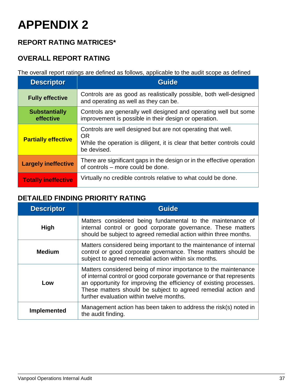### <span id="page-37-0"></span>**REPORT RATING MATRICES\***

### **OVERALL REPORT RATING**

The overall report ratings are defined as follows, applicable to the audit scope as defined

| <b>Descriptor</b>                 | <b>Guide</b>                                                                                                                                                       |
|-----------------------------------|--------------------------------------------------------------------------------------------------------------------------------------------------------------------|
| <b>Fully effective</b>            | Controls are as good as realistically possible, both well-designed<br>and operating as well as they can be.                                                        |
| <b>Substantially</b><br>effective | Controls are generally well designed and operating well but some<br>improvement is possible in their design or operation.                                          |
| <b>Partially effective</b>        | Controls are well designed but are not operating that well.<br><b>OR</b><br>While the operation is diligent, it is clear that better controls could<br>be devised. |
| <b>Largely ineffective</b>        | There are significant gaps in the design or in the effective operation<br>of controls - more could be done.                                                        |
| <b>Totally ineffective</b>        | Virtually no credible controls relative to what could be done.                                                                                                     |

### **DETAILED FINDING PRIORITY RATING**

| <b>Descriptor</b>  | <b>Guide</b>                                                                                                                                                                                                                                                                                                              |
|--------------------|---------------------------------------------------------------------------------------------------------------------------------------------------------------------------------------------------------------------------------------------------------------------------------------------------------------------------|
| <b>High</b>        | Matters considered being fundamental to the maintenance of<br>internal control or good corporate governance. These matters<br>should be subject to agreed remedial action within three months.                                                                                                                            |
| <b>Medium</b>      | Matters considered being important to the maintenance of internal<br>control or good corporate governance. These matters should be<br>subject to agreed remedial action within six months.                                                                                                                                |
| Low                | Matters considered being of minor importance to the maintenance<br>of internal control or good corporate governance or that represents<br>an opportunity for improving the efficiency of existing processes.<br>These matters should be subject to agreed remedial action and<br>further evaluation within twelve months. |
| <b>Implemented</b> | Management action has been taken to address the risk(s) noted in<br>the audit finding.                                                                                                                                                                                                                                    |